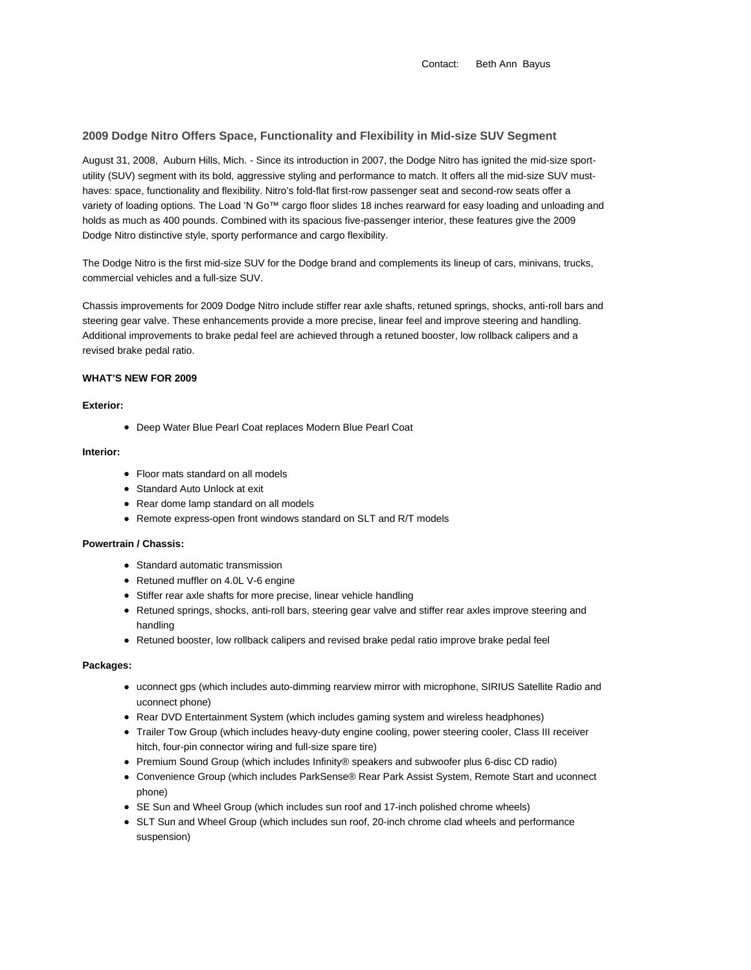# **2009 Dodge Nitro Offers Space, Functionality and Flexibility in Mid-size SUV Segment**

August 31, 2008, Auburn Hills, Mich. - Since its introduction in 2007, the Dodge Nitro has ignited the mid-size sportutility (SUV) segment with its bold, aggressive styling and performance to match. It offers all the mid-size SUV musthaves: space, functionality and flexibility. Nitro's fold-flat first-row passenger seat and second-row seats offer a variety of loading options. The Load 'N Go™ cargo floor slides 18 inches rearward for easy loading and unloading and holds as much as 400 pounds. Combined with its spacious five-passenger interior, these features give the 2009 Dodge Nitro distinctive style, sporty performance and cargo flexibility.

The Dodge Nitro is the first mid-size SUV for the Dodge brand and complements its lineup of cars, minivans, trucks, commercial vehicles and a full-size SUV.

Chassis improvements for 2009 Dodge Nitro include stiffer rear axle shafts, retuned springs, shocks, anti-roll bars and steering gear valve. These enhancements provide a more precise, linear feel and improve steering and handling. Additional improvements to brake pedal feel are achieved through a retuned booster, low rollback calipers and a revised brake pedal ratio.

# **WHAT'S NEW FOR 2009**

### **Exterior:**

Deep Water Blue Pearl Coat replaces Modern Blue Pearl Coat

#### **Interior:**

- Floor mats standard on all models
- Standard Auto Unlock at exit
- Rear dome lamp standard on all models
- Remote express-open front windows standard on SLT and R/T models

# **Powertrain / Chassis:**

- Standard automatic transmission
- Retuned muffler on 4.0L V-6 engine
- Stiffer rear axle shafts for more precise, linear vehicle handling
- Retuned springs, shocks, anti-roll bars, steering gear valve and stiffer rear axles improve steering and handling
- Retuned booster, low rollback calipers and revised brake pedal ratio improve brake pedal feel

#### **Packages:**

- uconnect gps (which includes auto-dimming rearview mirror with microphone, SIRIUS Satellite Radio and uconnect phone)
- Rear DVD Entertainment System (which includes gaming system and wireless headphones)
- Trailer Tow Group (which includes heavy-duty engine cooling, power steering cooler, Class III receiver hitch, four-pin connector wiring and full-size spare tire)
- Premium Sound Group (which includes Infinity® speakers and subwoofer plus 6-disc CD radio)
- Convenience Group (which includes ParkSense® Rear Park Assist System, Remote Start and uconnect phone)
- SE Sun and Wheel Group (which includes sun roof and 17-inch polished chrome wheels)
- SLT Sun and Wheel Group (which includes sun roof, 20-inch chrome clad wheels and performance suspension)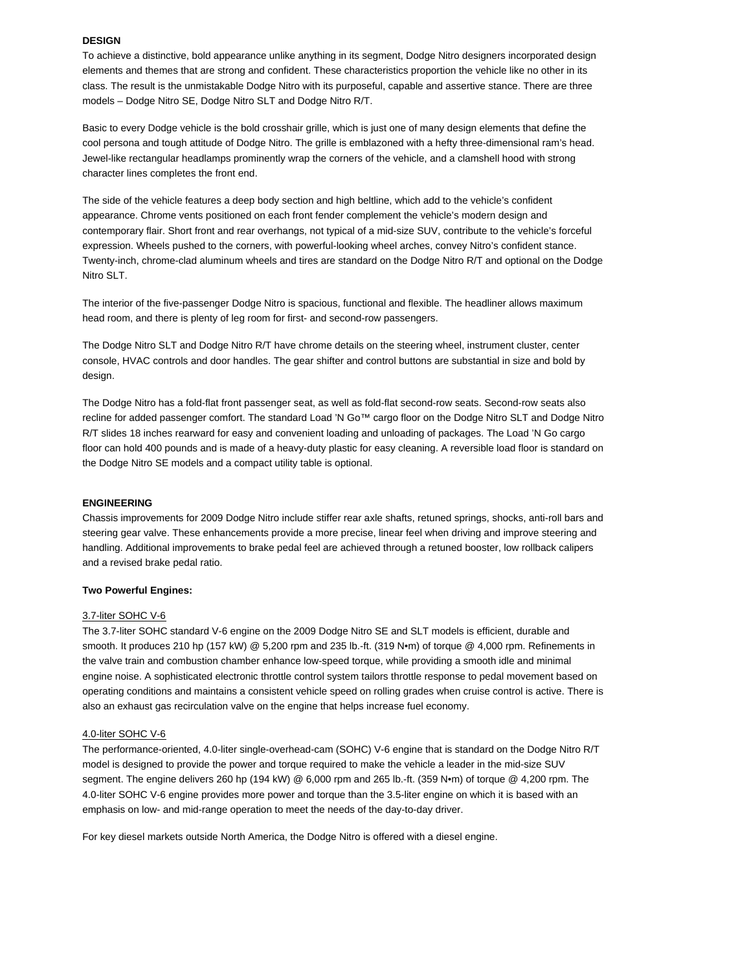#### **DESIGN**

To achieve a distinctive, bold appearance unlike anything in its segment, Dodge Nitro designers incorporated design elements and themes that are strong and confident. These characteristics proportion the vehicle like no other in its class. The result is the unmistakable Dodge Nitro with its purposeful, capable and assertive stance. There are three models – Dodge Nitro SE, Dodge Nitro SLT and Dodge Nitro R/T.

Basic to every Dodge vehicle is the bold crosshair grille, which is just one of many design elements that define the cool persona and tough attitude of Dodge Nitro. The grille is emblazoned with a hefty three-dimensional ram's head. Jewel-like rectangular headlamps prominently wrap the corners of the vehicle, and a clamshell hood with strong character lines completes the front end.

The side of the vehicle features a deep body section and high beltline, which add to the vehicle's confident appearance. Chrome vents positioned on each front fender complement the vehicle's modern design and contemporary flair. Short front and rear overhangs, not typical of a mid-size SUV, contribute to the vehicle's forceful expression. Wheels pushed to the corners, with powerful-looking wheel arches, convey Nitro's confident stance. Twenty-inch, chrome-clad aluminum wheels and tires are standard on the Dodge Nitro R/T and optional on the Dodge Nitro SLT.

The interior of the five-passenger Dodge Nitro is spacious, functional and flexible. The headliner allows maximum head room, and there is plenty of leg room for first- and second-row passengers.

The Dodge Nitro SLT and Dodge Nitro R/T have chrome details on the steering wheel, instrument cluster, center console, HVAC controls and door handles. The gear shifter and control buttons are substantial in size and bold by design.

The Dodge Nitro has a fold-flat front passenger seat, as well as fold-flat second-row seats. Second-row seats also recline for added passenger comfort. The standard Load 'N Go™ cargo floor on the Dodge Nitro SLT and Dodge Nitro R/T slides 18 inches rearward for easy and convenient loading and unloading of packages. The Load 'N Go cargo floor can hold 400 pounds and is made of a heavy-duty plastic for easy cleaning. A reversible load floor is standard on the Dodge Nitro SE models and a compact utility table is optional.

#### **ENGINEERING**

Chassis improvements for 2009 Dodge Nitro include stiffer rear axle shafts, retuned springs, shocks, anti-roll bars and steering gear valve. These enhancements provide a more precise, linear feel when driving and improve steering and handling. Additional improvements to brake pedal feel are achieved through a retuned booster, low rollback calipers and a revised brake pedal ratio.

#### **Two Powerful Engines:**

#### 3.7-liter SOHC V-6

The 3.7-liter SOHC standard V-6 engine on the 2009 Dodge Nitro SE and SLT models is efficient, durable and smooth. It produces 210 hp (157 kW) @ 5,200 rpm and 235 lb.-ft. (319 N•m) of torque @ 4,000 rpm. Refinements in the valve train and combustion chamber enhance low-speed torque, while providing a smooth idle and minimal engine noise. A sophisticated electronic throttle control system tailors throttle response to pedal movement based on operating conditions and maintains a consistent vehicle speed on rolling grades when cruise control is active. There is also an exhaust gas recirculation valve on the engine that helps increase fuel economy.

#### 4.0-liter SOHC V-6

The performance-oriented, 4.0-liter single-overhead-cam (SOHC) V-6 engine that is standard on the Dodge Nitro R/T model is designed to provide the power and torque required to make the vehicle a leader in the mid-size SUV segment. The engine delivers 260 hp (194 kW) @ 6,000 rpm and 265 lb.-ft. (359 N•m) of torque @ 4,200 rpm. The 4.0-liter SOHC V-6 engine provides more power and torque than the 3.5-liter engine on which it is based with an emphasis on low- and mid-range operation to meet the needs of the day-to-day driver.

For key diesel markets outside North America, the Dodge Nitro is offered with a diesel engine.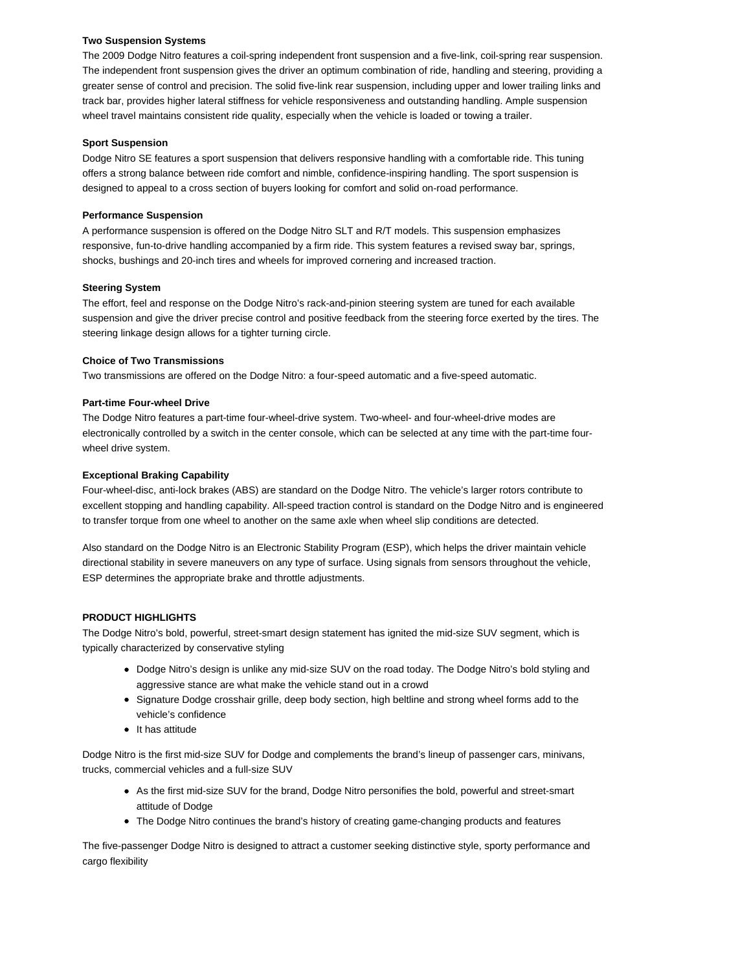# **Two Suspension Systems**

The 2009 Dodge Nitro features a coil-spring independent front suspension and a five-link, coil-spring rear suspension. The independent front suspension gives the driver an optimum combination of ride, handling and steering, providing a greater sense of control and precision. The solid five-link rear suspension, including upper and lower trailing links and track bar, provides higher lateral stiffness for vehicle responsiveness and outstanding handling. Ample suspension wheel travel maintains consistent ride quality, especially when the vehicle is loaded or towing a trailer.

# **Sport Suspension**

Dodge Nitro SE features a sport suspension that delivers responsive handling with a comfortable ride. This tuning offers a strong balance between ride comfort and nimble, confidence-inspiring handling. The sport suspension is designed to appeal to a cross section of buyers looking for comfort and solid on-road performance.

# **Performance Suspension**

A performance suspension is offered on the Dodge Nitro SLT and R/T models. This suspension emphasizes responsive, fun-to-drive handling accompanied by a firm ride. This system features a revised sway bar, springs, shocks, bushings and 20-inch tires and wheels for improved cornering and increased traction.

# **Steering System**

The effort, feel and response on the Dodge Nitro's rack-and-pinion steering system are tuned for each available suspension and give the driver precise control and positive feedback from the steering force exerted by the tires. The steering linkage design allows for a tighter turning circle.

# **Choice of Two Transmissions**

Two transmissions are offered on the Dodge Nitro: a four-speed automatic and a five-speed automatic.

# **Part-time Four-wheel Drive**

The Dodge Nitro features a part-time four-wheel-drive system. Two-wheel- and four-wheel-drive modes are electronically controlled by a switch in the center console, which can be selected at any time with the part-time fourwheel drive system.

# **Exceptional Braking Capability**

Four-wheel-disc, anti-lock brakes (ABS) are standard on the Dodge Nitro. The vehicle's larger rotors contribute to excellent stopping and handling capability. All-speed traction control is standard on the Dodge Nitro and is engineered to transfer torque from one wheel to another on the same axle when wheel slip conditions are detected.

Also standard on the Dodge Nitro is an Electronic Stability Program (ESP), which helps the driver maintain vehicle directional stability in severe maneuvers on any type of surface. Using signals from sensors throughout the vehicle, ESP determines the appropriate brake and throttle adjustments.

# **PRODUCT HIGHLIGHTS**

The Dodge Nitro's bold, powerful, street-smart design statement has ignited the mid-size SUV segment, which is typically characterized by conservative styling

- Dodge Nitro's design is unlike any mid-size SUV on the road today. The Dodge Nitro's bold styling and aggressive stance are what make the vehicle stand out in a crowd
- Signature Dodge crosshair grille, deep body section, high beltline and strong wheel forms add to the vehicle's confidence
- $\bullet$  It has attitude

Dodge Nitro is the first mid-size SUV for Dodge and complements the brand's lineup of passenger cars, minivans, trucks, commercial vehicles and a full-size SUV

- As the first mid-size SUV for the brand, Dodge Nitro personifies the bold, powerful and street-smart attitude of Dodge
- The Dodge Nitro continues the brand's history of creating game-changing products and features

The five-passenger Dodge Nitro is designed to attract a customer seeking distinctive style, sporty performance and cargo flexibility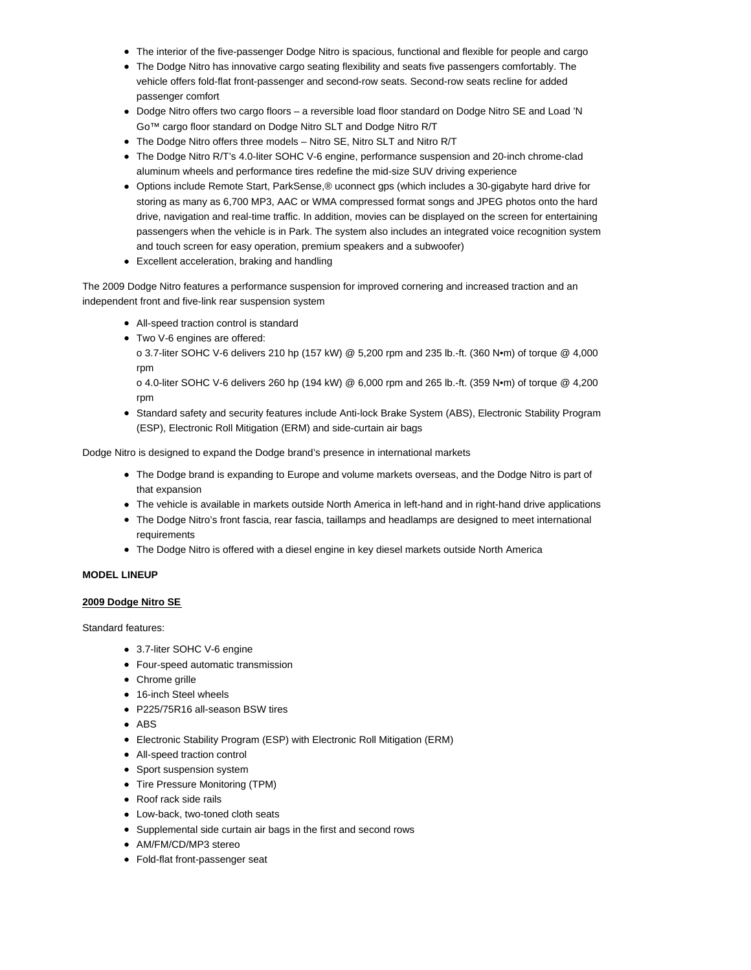- The interior of the five-passenger Dodge Nitro is spacious, functional and flexible for people and cargo
- The Dodge Nitro has innovative cargo seating flexibility and seats five passengers comfortably. The vehicle offers fold-flat front-passenger and second-row seats. Second-row seats recline for added passenger comfort
- Dodge Nitro offers two cargo floors a reversible load floor standard on Dodge Nitro SE and Load 'N Go™ cargo floor standard on Dodge Nitro SLT and Dodge Nitro R/T
- The Dodge Nitro offers three models Nitro SE, Nitro SLT and Nitro R/T
- The Dodge Nitro R/T's 4.0-liter SOHC V-6 engine, performance suspension and 20-inch chrome-clad aluminum wheels and performance tires redefine the mid-size SUV driving experience
- Options include Remote Start, ParkSense,® uconnect gps (which includes a 30-gigabyte hard drive for storing as many as 6,700 MP3, AAC or WMA compressed format songs and JPEG photos onto the hard drive, navigation and real-time traffic. In addition, movies can be displayed on the screen for entertaining passengers when the vehicle is in Park. The system also includes an integrated voice recognition system and touch screen for easy operation, premium speakers and a subwoofer)
- Excellent acceleration, braking and handling

The 2009 Dodge Nitro features a performance suspension for improved cornering and increased traction and an independent front and five-link rear suspension system

- All-speed traction control is standard
- Two V-6 engines are offered:

o 3.7-liter SOHC V-6 delivers 210 hp (157 kW) @ 5,200 rpm and 235 lb.-ft. (360 N•m) of torque @ 4,000 rpm

o 4.0-liter SOHC V-6 delivers 260 hp (194 kW) @ 6,000 rpm and 265 lb.-ft. (359 N•m) of torque @ 4,200 rpm

• Standard safety and security features include Anti-lock Brake System (ABS), Electronic Stability Program (ESP), Electronic Roll Mitigation (ERM) and side-curtain air bags

Dodge Nitro is designed to expand the Dodge brand's presence in international markets

- The Dodge brand is expanding to Europe and volume markets overseas, and the Dodge Nitro is part of that expansion
- The vehicle is available in markets outside North America in left-hand and in right-hand drive applications
- The Dodge Nitro's front fascia, rear fascia, taillamps and headlamps are designed to meet international requirements
- The Dodge Nitro is offered with a diesel engine in key diesel markets outside North America

# **MODEL LINEUP**

# **2009 Dodge Nitro SE**

Standard features:

- 3.7-liter SOHC V-6 engine
- Four-speed automatic transmission
- Chrome grille
- 16-inch Steel wheels
- P225/75R16 all-season BSW tires
- ABS
- Electronic Stability Program (ESP) with Electronic Roll Mitigation (ERM)
- All-speed traction control
- Sport suspension system
- Tire Pressure Monitoring (TPM)
- Roof rack side rails
- Low-back, two-toned cloth seats
- Supplemental side curtain air bags in the first and second rows
- AM/FM/CD/MP3 stereo
- Fold-flat front-passenger seat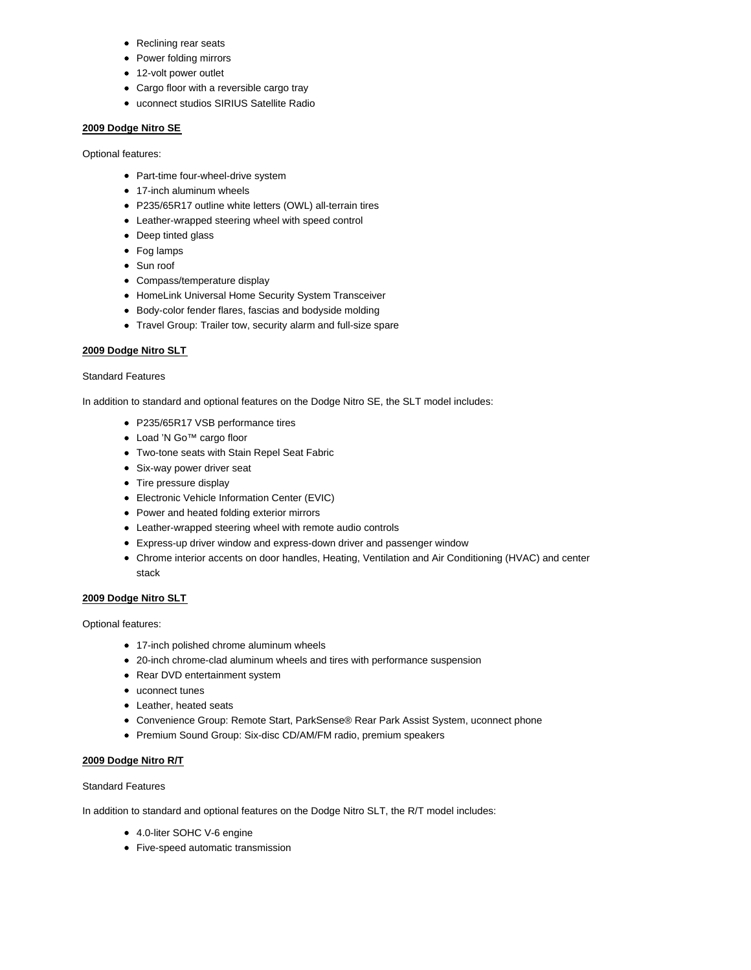- Reclining rear seats
- Power folding mirrors
- 12-volt power outlet
- Cargo floor with a reversible cargo tray
- uconnect studios SIRIUS Satellite Radio

# **2009 Dodge Nitro SE**

Optional features:

- Part-time four-wheel-drive system
- 17-inch aluminum wheels
- P235/65R17 outline white letters (OWL) all-terrain tires
- Leather-wrapped steering wheel with speed control
- Deep tinted glass
- Fog lamps
- Sun roof
- Compass/temperature display
- HomeLink Universal Home Security System Transceiver
- Body-color fender flares, fascias and bodyside molding
- Travel Group: Trailer tow, security alarm and full-size spare

# **2009 Dodge Nitro SLT**

# Standard Features

In addition to standard and optional features on the Dodge Nitro SE, the SLT model includes:

- P235/65R17 VSB performance tires
- Load 'N Go™ cargo floor
- Two-tone seats with Stain Repel Seat Fabric
- Six-way power driver seat
- Tire pressure display
- Electronic Vehicle Information Center (EVIC)
- Power and heated folding exterior mirrors
- Leather-wrapped steering wheel with remote audio controls
- Express-up driver window and express-down driver and passenger window
- Chrome interior accents on door handles, Heating, Ventilation and Air Conditioning (HVAC) and center stack

# **2009 Dodge Nitro SLT**

Optional features:

- 17-inch polished chrome aluminum wheels
- 20-inch chrome-clad aluminum wheels and tires with performance suspension
- Rear DVD entertainment system
- uconnect tunes
- Leather, heated seats
- Convenience Group: Remote Start, ParkSense® Rear Park Assist System, uconnect phone
- Premium Sound Group: Six-disc CD/AM/FM radio, premium speakers

# **2009 Dodge Nitro R/T**

Standard Features

In addition to standard and optional features on the Dodge Nitro SLT, the R/T model includes:

- 4.0-liter SOHC V-6 engine
- Five-speed automatic transmission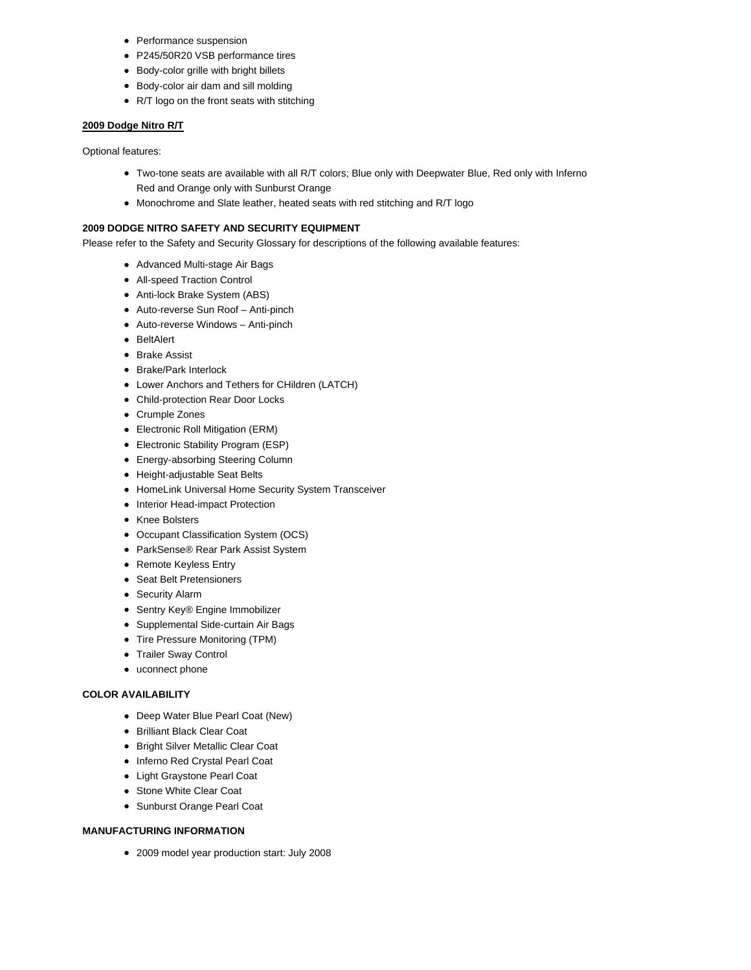- Performance suspension
- P245/50R20 VSB performance tires
- Body-color grille with bright billets
- Body-color air dam and sill molding
- R/T logo on the front seats with stitching

### **2009 Dodge Nitro R/T**

Optional features:

- Two-tone seats are available with all R/T colors; Blue only with Deepwater Blue, Red only with Inferno Red and Orange only with Sunburst Orange
- Monochrome and Slate leather, heated seats with red stitching and R/T logo

# **2009 DODGE NITRO SAFETY AND SECURITY EQUIPMENT**

Please refer to the Safety and Security Glossary for descriptions of the following available features:

- Advanced Multi-stage Air Bags
- All-speed Traction Control
- Anti-lock Brake System (ABS)
- Auto-reverse Sun Roof Anti-pinch
- Auto-reverse Windows Anti-pinch
- BeltAlert
- Brake Assist
- Brake/Park Interlock
- Lower Anchors and Tethers for CHildren (LATCH)
- Child-protection Rear Door Locks
- Crumple Zones
- Electronic Roll Mitigation (ERM)
- Electronic Stability Program (ESP)
- Energy-absorbing Steering Column
- Height-adjustable Seat Belts
- HomeLink Universal Home Security System Transceiver
- Interior Head-impact Protection
- Knee Bolsters
- Occupant Classification System (OCS)
- ParkSense® Rear Park Assist System
- Remote Keyless Entry
- Seat Belt Pretensioners
- **Security Alarm**
- Sentry Key® Engine Immobilizer
- Supplemental Side-curtain Air Bags
- Tire Pressure Monitoring (TPM)
- Trailer Sway Control
- uconnect phone

### **COLOR AVAILABILITY**

- Deep Water Blue Pearl Coat (New)
- Brilliant Black Clear Coat
- Bright Silver Metallic Clear Coat
- Inferno Red Crystal Pearl Coat
- Light Graystone Pearl Coat
- Stone White Clear Coat
- Sunburst Orange Pearl Coat

### **MANUFACTURING INFORMATION**

2009 model year production start: July 2008